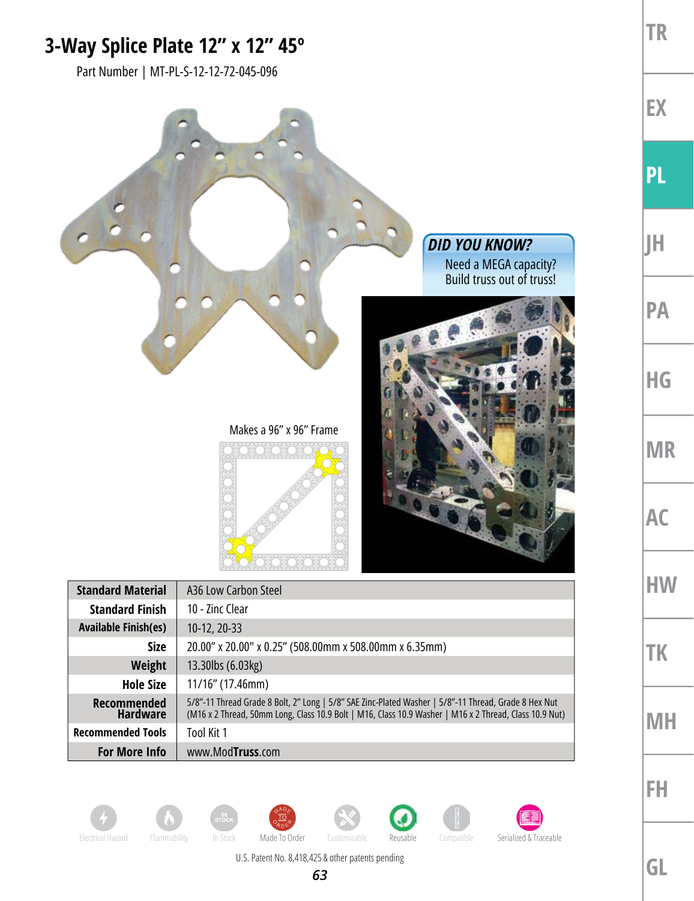## **3-Way Splice Plate 12" x 12" 45º**

Part Number | MT-PL-S-12-12-72-045-096

















U.S. Patent No. 8,418,425 & other patents pending

**GL**

**TR**